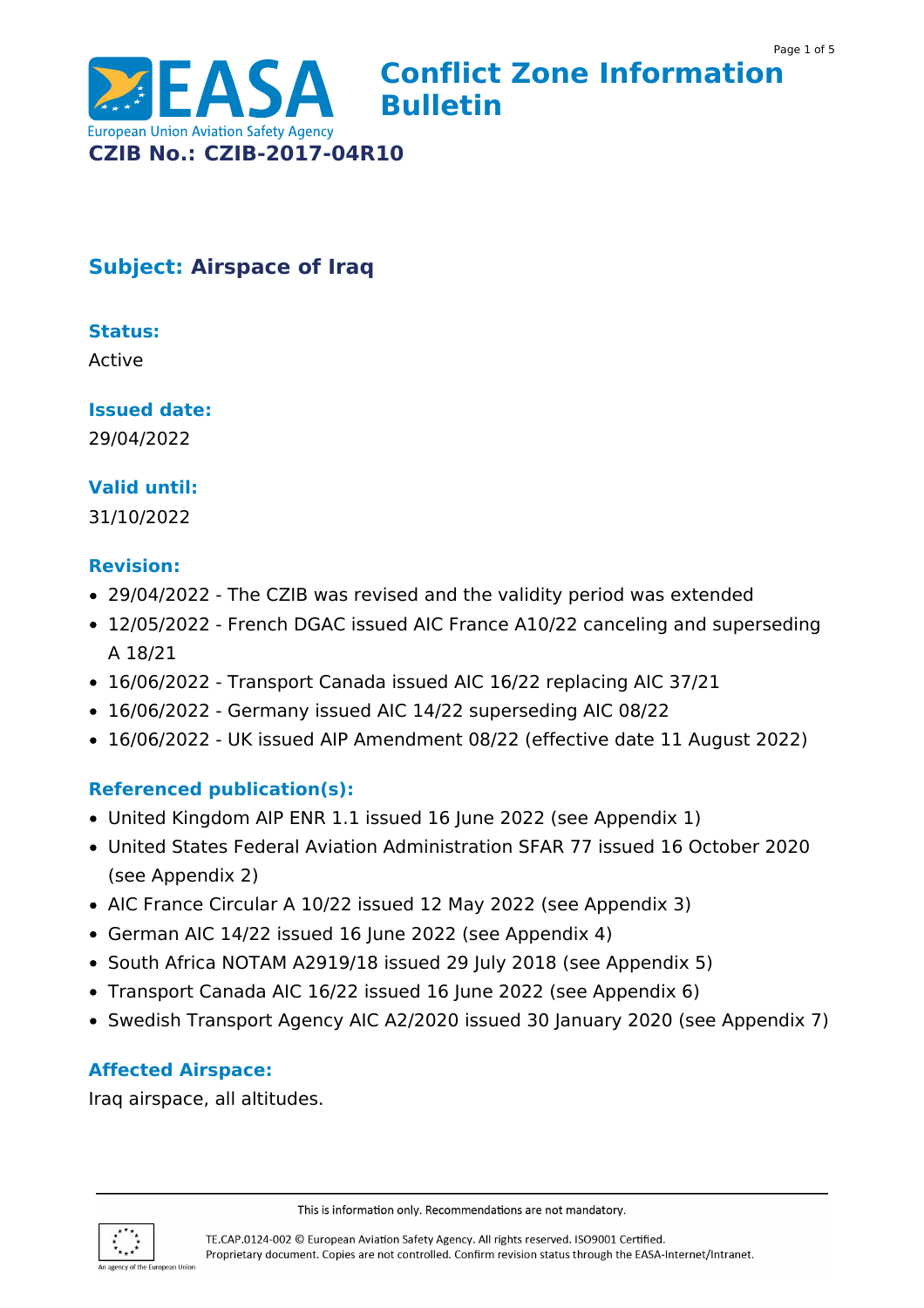

# **Subject: Airspace of Iraq**

## **Status:**

Active

### **Issued date:**

29/04/2022

## **Valid until:**

31/10/2022

#### **Revision:**

- 29/04/2022 The CZIB was revised and the validity period was extended
- 12/05/2022 French DGAC issued AIC France A10/22 canceling and superseding A 18/21
- 16/06/2022 Transport Canada issued AIC 16/22 replacing AIC 37/21
- 16/06/2022 Germany issued AIC 14/22 superseding AIC 08/22
- 16/06/2022 UK issued AIP Amendment 08/22 (effective date 11 August 2022)

### **Referenced publication(s):**

- United Kingdom AIP ENR 1.1 issued 16 June 2022 (see Appendix 1)
- United States Federal Aviation Administration SFAR 77 issued 16 October 2020 (see Appendix 2)
- AIC France Circular A 10/22 issued 12 May 2022 (see Appendix 3)
- German AIC 14/22 issued 16 June 2022 (see Appendix 4)
- South Africa NOTAM A2919/18 issued 29 July 2018 (see Appendix 5)
- Transport Canada AIC 16/22 issued 16 June 2022 (see Appendix 6)
- Swedish Transport Agency AIC A2/2020 issued 30 January 2020 (see Appendix 7)

### **Affected Airspace:**

Iraq airspace, all altitudes.



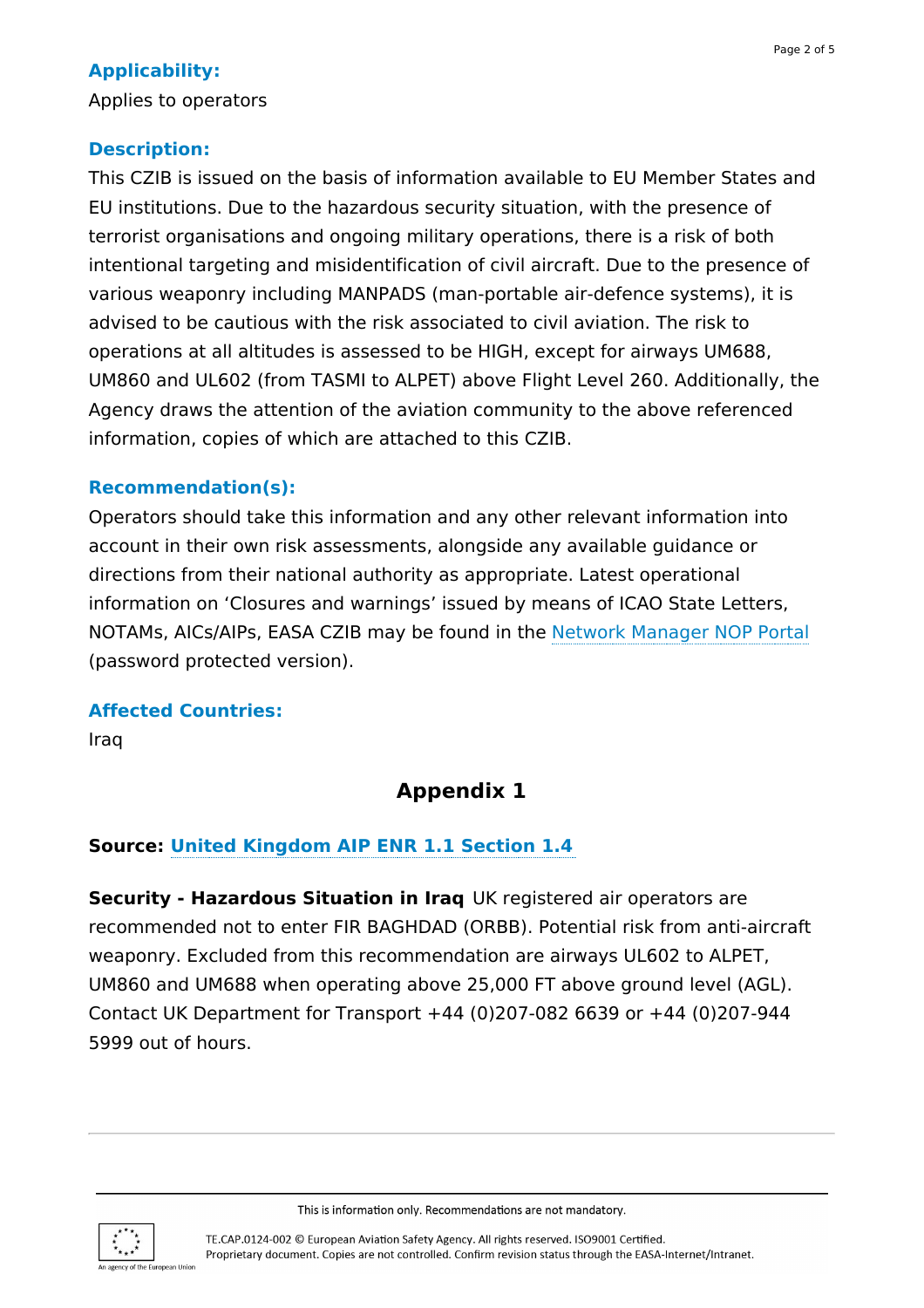## **Applicability:**

Applies to operators

### **Description:**

This CZIB is issued on the basis of information available to EU Member States and EU institutions. Due to the hazardous security situation, with the presence of terrorist organisations and ongoing military operations, there is a risk of both intentional targeting and misidentification of civil aircraft. Due to the presence of various weaponry including MANPADS (man-portable air-defence systems), it is advised to be cautious with the risk associated to civil aviation. The risk to operations at all altitudes is assessed to be HIGH, except for airways UM688, UM860 and UL602 (from TASMI to ALPET) above Flight Level 260. Additionally, the Agency draws the attention of the aviation community to the above referenced information, copies of which are attached to this CZIB.

### **Recommendation(s):**

Operators should take this information and any other relevant information into account in their own risk assessments, alongside any available guidance or directions from their national authority as appropriate. Latest operational information on 'Closures and warnings' issued by means of ICAO State Letters, NOTAMs, AICs/AIPs, EASA CZIB may be found in the Network [Manager](https://www.nm.eurocontrol.int/PORTAL/gateway/spec/index.html) NOP Portal (password protected version).

#### **Affected Countries:**

Iraq

# **Appendix 1**

### **Source: United [Kingdom](https://www.aurora.nats.co.uk/htmlAIP/Publications/2021-07-15-AIRAC/html/index-en-GB.html) AIP ENR 1.1 Section 1.4**

**Security - Hazardous Situation in Iraq** UK registered air operators are recommended not to enter FIR BAGHDAD (ORBB). Potential risk from anti-aircraft weaponry. Excluded from this recommendation are airways UL602 to ALPET, UM860 and UM688 when operating above 25,000 FT above ground level (AGL). Contact UK Department for Transport +44 (0)207-082 6639 or +44 (0)207-944 5999 out of hours.

This is information only. Recommendations are not mandatory.

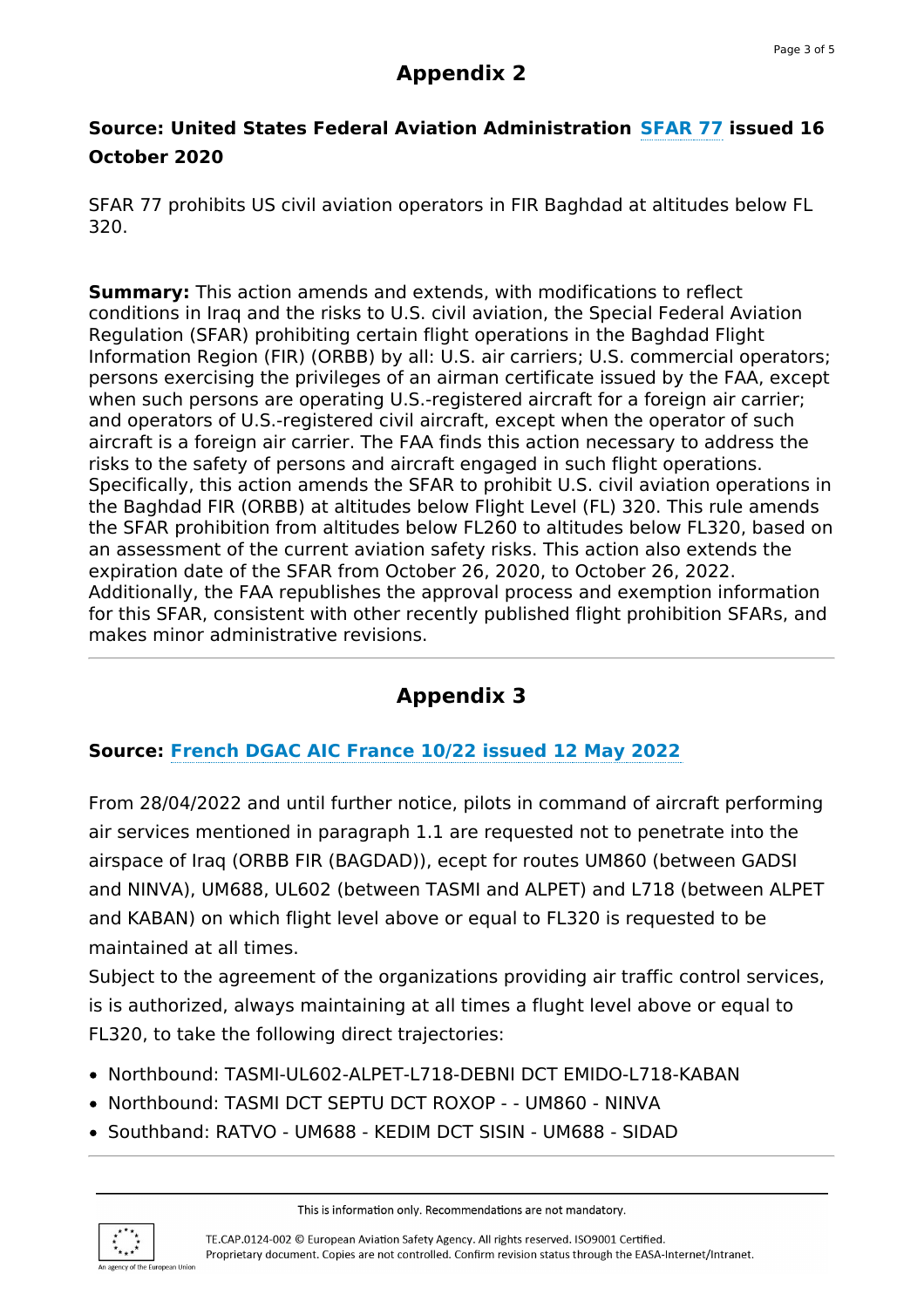# **Appendix 2**

## **Source: United States Federal Aviation Administration [SFAR](https://www.federalregister.gov/documents/2020/10/16/2020-23047/prohibition-against-certain-flights-in-the-baghdad-flight-information-region-fir-orbb) 77 issued 16 October 2020**

SFAR 77 prohibits US civil aviation operators in FIR Baghdad at altitudes below FL 320.

**Summary:** This action amends and extends, with modifications to reflect conditions in Iraq and the risks to U.S. civil aviation, the Special Federal Aviation Regulation (SFAR) prohibiting certain flight operations in the Baghdad Flight Information Region (FIR) (ORBB) by all: U.S. air carriers; U.S. commercial operators; persons exercising the privileges of an airman certificate issued by the FAA, except when such persons are operating U.S.-registered aircraft for a foreign air carrier; and operators of U.S.-registered civil aircraft, except when the operator of such aircraft is a foreign air carrier. The FAA finds this action necessary to address the risks to the safety of persons and aircraft engaged in such flight operations. Specifically, this action amends the SFAR to prohibit U.S. civil aviation operations in the Baghdad FIR (ORBB) at altitudes below Flight Level (FL) 320. This rule amends the SFAR prohibition from altitudes below FL260 to altitudes below FL320, based on an assessment of the current aviation safety risks. This action also extends the expiration date of the SFAR from October 26, 2020, to October 26, 2022. Additionally, the FAA republishes the approval process and exemption information for this SFAR, consistent with other recently published flight prohibition SFARs, and makes minor administrative revisions.

# **Appendix 3**

## **Source: [French](https://salledelecture-ext.aviation-civile.gouv.fr/externe/AIC/AIC%20France.pdf) DGAC AIC France 10/22 issued 12 May 2022**

From 28/04/2022 and until further notice, pilots in command of aircraft performing air services mentioned in paragraph 1.1 are requested not to penetrate into the airspace of Iraq (ORBB FIR (BAGDAD)), ecept for routes UM860 (between GADSI and NINVA), UM688, UL602 (between TASMI and ALPET) and L718 (between ALPET and KABAN) on which flight level above or equal to FL320 is requested to be maintained at all times.

Subject to the agreement of the organizations providing air traffic control services, is is authorized, always maintaining at all times a flught level above or equal to FL320, to take the following direct trajectories:

- Northbound: TASMI-UL602-ALPET-L718-DEBNI DCT EMIDO-L718-KABAN
- Northbound: TASMI DCT SEPTU DCT ROXOP - UM860 NINVA
- Southband: RATVO UM688 KEDIM DCT SISIN UM688 SIDAD

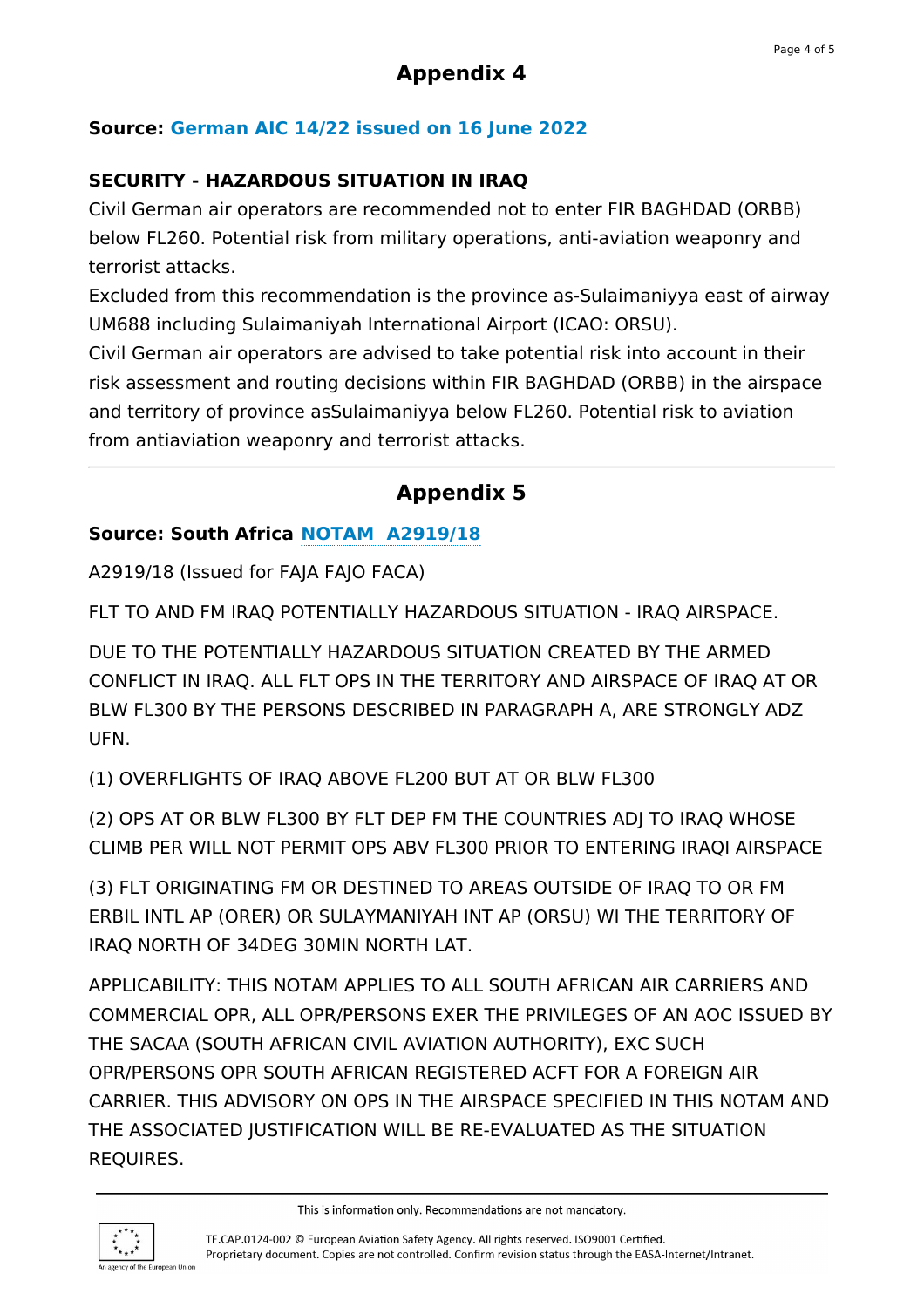# **Appendix 4**

## **Source: [German](https://aip.dfs.de/BasicIFR/2022JUN16/5c0e39e03d67075b033efe3b11fe2a21.html) AIC 14/22 issued on 16 June 2022**

## **SECURITY - HAZARDOUS SITUATION IN IRAQ**

Civil German air operators are recommended not to enter FIR BAGHDAD (ORBB) below FL260. Potential risk from military operations, anti-aviation weaponry and terrorist attacks.

Excluded from this recommendation is the province as-Sulaimaniyya east of airway UM688 including Sulaimaniyah International Airport (ICAO: ORSU).

Civil German air operators are advised to take potential risk into account in their risk assessment and routing decisions within FIR BAGHDAD (ORBB) in the airspace and territory of province asSulaimaniyya below FL260. Potential risk to aviation from antiaviation weaponry and terrorist attacks.

## **Appendix 5**

### **Source: South Africa NOTAM [A2919/18](https://safeairspace.net/iraq/)**

A2919/18 (Issued for FAJA FAJO FACA)

FLT TO AND FM IRAQ POTENTIALLY HAZARDOUS SITUATION - IRAQ AIRSPACE.

DUE TO THE POTENTIALLY HAZARDOUS SITUATION CREATED BY THE ARMED CONFLICT IN IRAQ. ALL FLT OPS IN THE TERRITORY AND AIRSPACE OF IRAQ AT OR BLW FL300 BY THE PERSONS DESCRIBED IN PARAGRAPH A, ARE STRONGLY ADZ UFN.

(1) OVERFLIGHTS OF IRAQ ABOVE FL200 BUT AT OR BLW FL300

(2) OPS AT OR BLW FL300 BY FLT DEP FM THE COUNTRIES ADJ TO IRAQ WHOSE CLIMB PER WILL NOT PERMIT OPS ABV FL300 PRIOR TO ENTERING IRAQI AIRSPACE

(3) FLT ORIGINATING FM OR DESTINED TO AREAS OUTSIDE OF IRAQ TO OR FM ERBIL INTL AP (ORER) OR SULAYMANIYAH INT AP (ORSU) WI THE TERRITORY OF IRAQ NORTH OF 34DEG 30MIN NORTH LAT.

APPLICABILITY: THIS NOTAM APPLIES TO ALL SOUTH AFRICAN AIR CARRIERS AND COMMERCIAL OPR, ALL OPR/PERSONS EXER THE PRIVILEGES OF AN AOC ISSUED BY THE SACAA (SOUTH AFRICAN CIVIL AVIATION AUTHORITY), EXC SUCH OPR/PERSONS OPR SOUTH AFRICAN REGISTERED ACFT FOR A FOREIGN AIR CARRIER. THIS ADVISORY ON OPS IN THE AIRSPACE SPECIFIED IN THIS NOTAM AND THE ASSOCIATED JUSTIFICATION WILL BE RE-EVALUATED AS THE SITUATION REQUIRES.